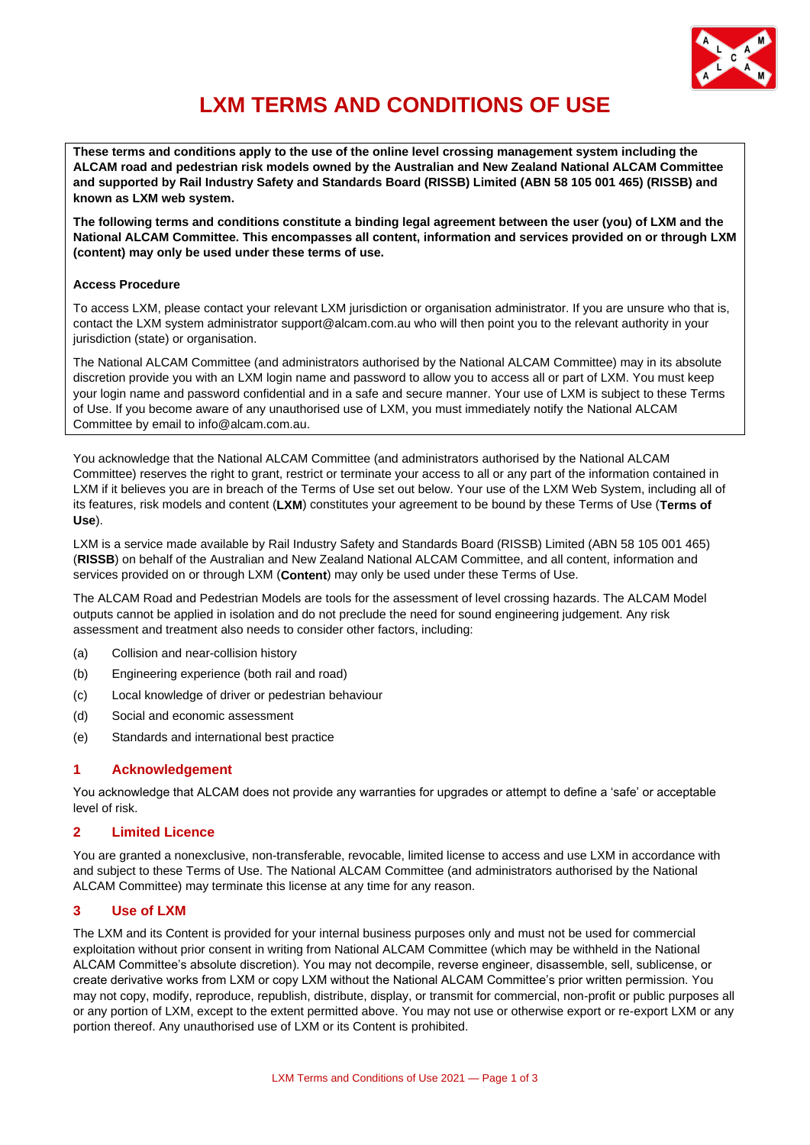

# **LXM TERMS AND CONDITIONS OF USE**

**These terms and conditions apply to the use of the online level crossing management system including the ALCAM road and pedestrian risk models owned by the Australian and New Zealand National ALCAM Committee and supported by Rail Industry Safety and Standards Board (RISSB) Limited (ABN 58 105 001 465) (RISSB) and known as LXM web system.** 

**The following terms and conditions constitute a binding legal agreement between the user (you) of LXM and the National ALCAM Committee. This encompasses all content, information and services provided on or through LXM (content) may only be used under these terms of use.**

## **Access Procedure**

To access LXM, please contact your relevant LXM jurisdiction or organisation administrator. If you are unsure who that is, contact the LXM system administrator support@alcam.com.au who will then point you to the relevant authority in your jurisdiction (state) or organisation.

The National ALCAM Committee (and administrators authorised by the National ALCAM Committee) may in its absolute discretion provide you with an LXM login name and password to allow you to access all or part of LXM. You must keep your login name and password confidential and in a safe and secure manner. Your use of LXM is subject to these Terms of Use. If you become aware of any unauthorised use of LXM, you must immediately notify the National ALCAM Committee by email to info@alcam.com.au.

You acknowledge that the National ALCAM Committee (and administrators authorised by the National ALCAM Committee) reserves the right to grant, restrict or terminate your access to all or any part of the information contained in LXM if it believes you are in breach of the Terms of Use set out below. Your use of the LXM Web System, including all of its features, risk models and content (**LXM**) constitutes your agreement to be bound by these Terms of Use (**Terms of Use**).

LXM is a service made available by Rail Industry Safety and Standards Board (RISSB) Limited (ABN 58 105 001 465) (**RISSB**) on behalf of the Australian and New Zealand National ALCAM Committee, and all content, information and services provided on or through LXM (**Content**) may only be used under these Terms of Use.

The ALCAM Road and Pedestrian Models are tools for the assessment of level crossing hazards. The ALCAM Model outputs cannot be applied in isolation and do not preclude the need for sound engineering judgement. Any risk assessment and treatment also needs to consider other factors, including:

- (a) Collision and near-collision history
- (b) Engineering experience (both rail and road)
- (c) Local knowledge of driver or pedestrian behaviour
- (d) Social and economic assessment
- (e) Standards and international best practice

# **1 Acknowledgement**

You acknowledge that ALCAM does not provide any warranties for upgrades or attempt to define a 'safe' or acceptable level of risk.

## **2 Limited Licence**

You are granted a nonexclusive, non-transferable, revocable, limited license to access and use LXM in accordance with and subject to these Terms of Use. The National ALCAM Committee (and administrators authorised by the National ALCAM Committee) may terminate this license at any time for any reason.

# **3 Use of LXM**

The LXM and its Content is provided for your internal business purposes only and must not be used for commercial exploitation without prior consent in writing from National ALCAM Committee (which may be withheld in the National ALCAM Committee's absolute discretion). You may not decompile, reverse engineer, disassemble, sell, sublicense, or create derivative works from LXM or copy LXM without the National ALCAM Committee's prior written permission. You may not copy, modify, reproduce, republish, distribute, display, or transmit for commercial, non-profit or public purposes all or any portion of LXM, except to the extent permitted above. You may not use or otherwise export or re-export LXM or any portion thereof. Any unauthorised use of LXM or its Content is prohibited.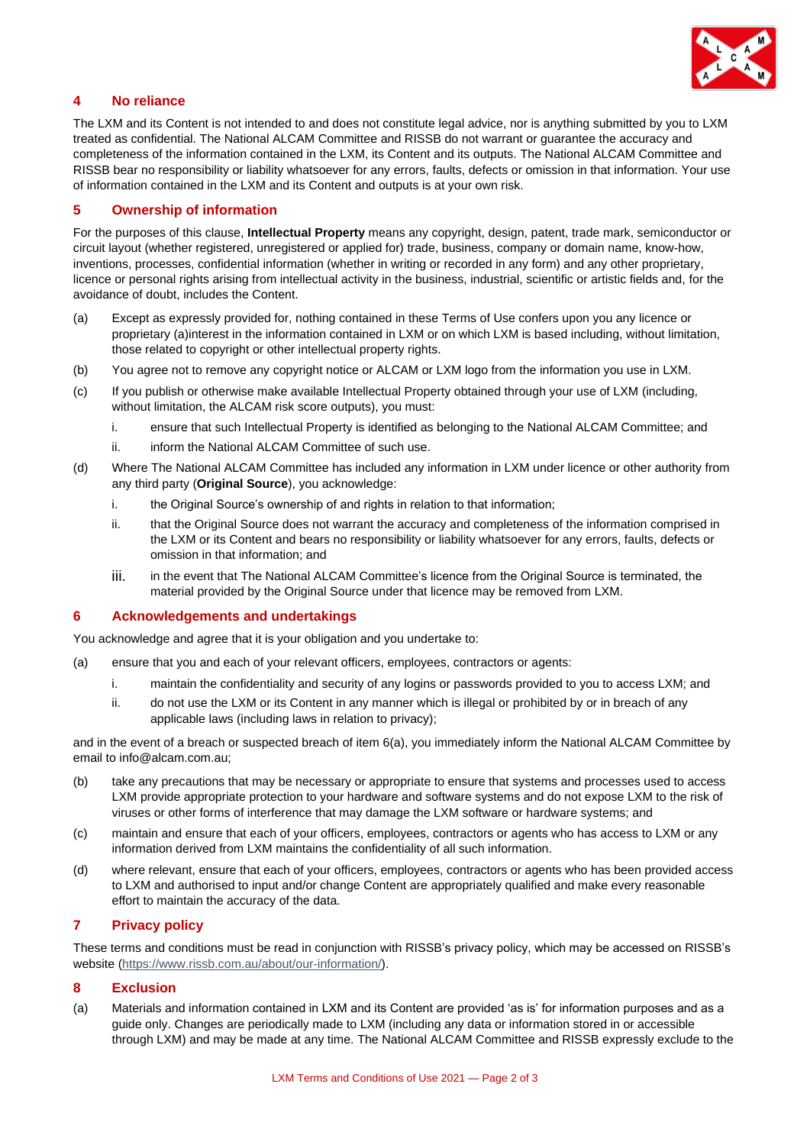

# **4 No reliance**

The LXM and its Content is not intended to and does not constitute legal advice, nor is anything submitted by you to LXM treated as confidential. The National ALCAM Committee and RISSB do not warrant or guarantee the accuracy and completeness of the information contained in the LXM, its Content and its outputs. The National ALCAM Committee and RISSB bear no responsibility or liability whatsoever for any errors, faults, defects or omission in that information. Your use of information contained in the LXM and its Content and outputs is at your own risk.

## **5 Ownership of information**

For the purposes of this clause, **Intellectual Property** means any copyright, design, patent, trade mark, semiconductor or circuit layout (whether registered, unregistered or applied for) trade, business, company or domain name, know-how, inventions, processes, confidential information (whether in writing or recorded in any form) and any other proprietary, licence or personal rights arising from intellectual activity in the business, industrial, scientific or artistic fields and, for the avoidance of doubt, includes the Content.

- (a) Except as expressly provided for, nothing contained in these Terms of Use confers upon you any licence or proprietary (a)interest in the information contained in LXM or on which LXM is based including, without limitation, those related to copyright or other intellectual property rights.
- (b) You agree not to remove any copyright notice or ALCAM or LXM logo from the information you use in LXM.
- (c) If you publish or otherwise make available Intellectual Property obtained through your use of LXM (including, without limitation, the ALCAM risk score outputs), you must:
	- i. ensure that such Intellectual Property is identified as belonging to the National ALCAM Committee; and
	- ii. inform the National ALCAM Committee of such use.
- (d) Where The National ALCAM Committee has included any information in LXM under licence or other authority from any third party (**Original Source**), you acknowledge:
	- i. the Original Source's ownership of and rights in relation to that information;
	- ii. that the Original Source does not warrant the accuracy and completeness of the information comprised in the LXM or its Content and bears no responsibility or liability whatsoever for any errors, faults, defects or omission in that information; and
	- iii. in the event that The National ALCAM Committee's licence from the Original Source is terminated, the material provided by the Original Source under that licence may be removed from LXM.

## **6 Acknowledgements and undertakings**

You acknowledge and agree that it is your obligation and you undertake to:

- (a) ensure that you and each of your relevant officers, employees, contractors or agents:
	- i. maintain the confidentiality and security of any logins or passwords provided to you to access LXM; and
	- ii. do not use the LXM or its Content in any manner which is illegal or prohibited by or in breach of any applicable laws (including laws in relation to privacy);

and in the event of a breach or suspected breach of item 6(a), you immediately inform the National ALCAM Committee by email to info@alcam.com.au;

- (b) take any precautions that may be necessary or appropriate to ensure that systems and processes used to access LXM provide appropriate protection to your hardware and software systems and do not expose LXM to the risk of viruses or other forms of interference that may damage the LXM software or hardware systems; and
- (c) maintain and ensure that each of your officers, employees, contractors or agents who has access to LXM or any information derived from LXM maintains the confidentiality of all such information.
- (d) where relevant, ensure that each of your officers, employees, contractors or agents who has been provided access to LXM and authorised to input and/or change Content are appropriately qualified and make every reasonable effort to maintain the accuracy of the data.

## **7 Privacy policy**

These terms and conditions must be read in conjunction with RISSB's privacy policy, which may be accessed on RISSB's website [\(https://www.rissb.com.au/about/our-information/\)](https://www.rissb.com.au/about/our-information/).

## **8 Exclusion**

(a) Materials and information contained in LXM and its Content are provided 'as is' for information purposes and as a guide only. Changes are periodically made to LXM (including any data or information stored in or accessible through LXM) and may be made at any time. The National ALCAM Committee and RISSB expressly exclude to the